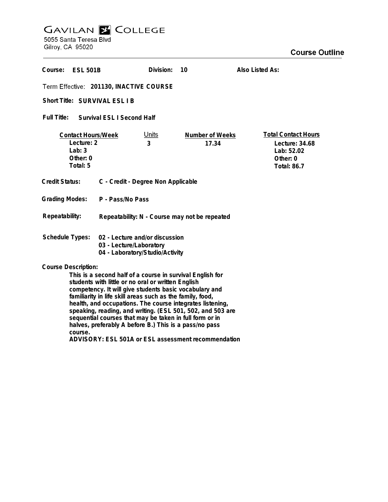## **GAVILAN E COLLEGE**<br>5055 Santa Teresa Blvd

Gilroy, CA 95020

| Course:<br><b>ESL 501B</b>                                                                                                                                                                                                                                                                                                                                                                                                                                 |                                                                                              | Division:         | 10                       | Also Listed As:                                                                              |
|------------------------------------------------------------------------------------------------------------------------------------------------------------------------------------------------------------------------------------------------------------------------------------------------------------------------------------------------------------------------------------------------------------------------------------------------------------|----------------------------------------------------------------------------------------------|-------------------|--------------------------|----------------------------------------------------------------------------------------------|
| Term Effective: 201130, INACTIVE COURSE                                                                                                                                                                                                                                                                                                                                                                                                                    |                                                                                              |                   |                          |                                                                                              |
| Short Title: SURVIVAL ESL I B                                                                                                                                                                                                                                                                                                                                                                                                                              |                                                                                              |                   |                          |                                                                                              |
| Full Title: Survival ESL I Second Half                                                                                                                                                                                                                                                                                                                                                                                                                     |                                                                                              |                   |                          |                                                                                              |
| <b>Contact Hours/Week</b><br>Lecture: 2<br>Lab: $3$<br>Other: 0<br>Total: 5                                                                                                                                                                                                                                                                                                                                                                                |                                                                                              | <u>Units</u><br>3 | Number of Weeks<br>17.34 | <b>Total Contact Hours</b><br>Lecture: 34.68<br>Lab: 52.02<br>Other: 0<br><b>Total: 86.7</b> |
| <b>Credit Status:</b>                                                                                                                                                                                                                                                                                                                                                                                                                                      | C - Credit - Degree Non Applicable                                                           |                   |                          |                                                                                              |
| <b>Grading Modes:</b>                                                                                                                                                                                                                                                                                                                                                                                                                                      | P - Pass/No Pass                                                                             |                   |                          |                                                                                              |
| Repeatability:                                                                                                                                                                                                                                                                                                                                                                                                                                             | Repeatability: N - Course may not be repeated                                                |                   |                          |                                                                                              |
| <b>Schedule Types:</b>                                                                                                                                                                                                                                                                                                                                                                                                                                     | 02 - Lecture and/or discussion<br>03 - Lecture/Laboratory<br>04 - Laboratory/Studio/Activity |                   |                          |                                                                                              |
| <b>Course Description:</b><br>This is a second half of a course in survival English for<br>students with little or no oral or written English<br>competency. It will give students basic vocabulary and<br>familiarity in life skill areas such as the family, food,<br>health, and occupations. The course integrates listening,<br>speaking, reading, and writing. (ESL 501, 502, and 503 are<br>sequential courses that may be taken in full form or in |                                                                                              |                   |                          |                                                                                              |

**course. ADVISORY: ESL 501A or ESL assessment recommendation**

**halves, preferably A before B.) This is a pass/no pass**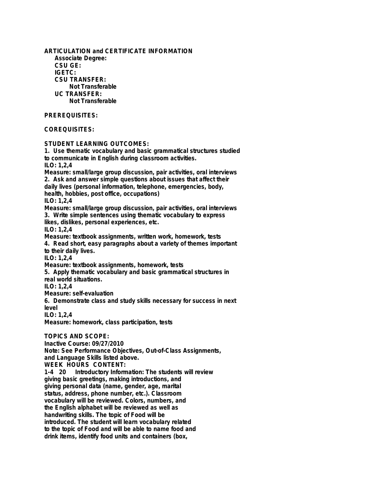**ARTICULATION and CERTIFICATE INFORMATION Associate Degree: CSU GE: IGETC: CSU TRANSFER: Not Transferable UC TRANSFER: Not Transferable PREREQUISITES: COREQUISITES: STUDENT LEARNING OUTCOMES: 1. Use thematic vocabulary and basic grammatical structures studied to communicate in English during classroom activities. ILO: 1,2,4 Measure: small/large group discussion, pair activities, oral interviews 2. Ask and answer simple questions about issues that affect their daily lives (personal information, telephone, emergencies, body, health, hobbies, post office, occupations) ILO: 1,2,4 Measure: small/large group discussion, pair activities, oral interviews 3. Write simple sentences using thematic vocabulary to express likes, dislikes, personal experiences, etc. ILO: 1,2,4 Measure: textbook assignments, written work, homework, tests 4. Read short, easy paragraphs about a variety of themes important to their daily lives. ILO: 1,2,4 Measure: textbook assignments, homework, tests 5. Apply thematic vocabulary and basic grammatical structures in real world situations. ILO: 1,2,4 Measure: self-evaluation 6. Demonstrate class and study skills necessary for success in next level ILO: 1,2,4 Measure: homework, class participation, tests TOPICS AND SCOPE: Inactive Course: 09/27/2010 Note: See Performance Objectives, Out-of-Class Assignments, and Language Skills listed above. WEEK HOURS CONTENT: 1-4 20 Introductory Information: The students will review giving basic greetings, making introductions, and**

**giving personal data (name, gender, age, marital status, address, phone number, etc.). Classroom vocabulary will be reviewed. Colors, numbers, and the English alphabet will be reviewed as well as handwriting skills. The topic of Food will be introduced. The student will learn vocabulary related to the topic of Food and will be able to name food and drink items, identify food units and containers (box,**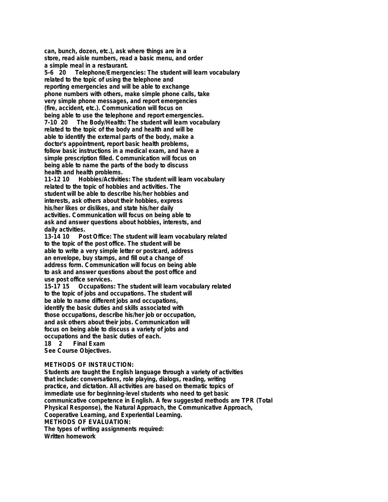**can, bunch, dozen, etc.), ask where things are in a store, read aisle numbers, read a basic menu, and order a simple meal in a restaurant.**

**5-6 20 Telephone/Emergencies: The student will learn vocabulary related to the topic of using the telephone and reporting emergencies and will be able to exchange phone numbers with others, make simple phone calls, take very simple phone messages, and report emergencies (fire, accident, etc.). Communication will focus on being able to use the telephone and report emergencies. 7-10 20 The Body/Health: The student will learn vocabulary related to the topic of the body and health and will be able to identify the external parts of the body, make a doctor's appointment, report basic health problems, follow basic instructions in a medical exam, and have a simple prescription filled. Communication will focus on being able to name the parts of the body to discuss health and health problems.**

**11-12 10 Hobbies/Activities: The student will learn vocabulary related to the topic of hobbies and activities. The student will be able to describe his/her hobbies and interests, ask others about their hobbies, express his/her likes or dislikes, and state his/her daily activities. Communication will focus on being able to ask and answer questions about hobbies, interests, and daily activities.**

**13-14 10 Post Office: The student will learn vocabulary related to the topic of the post office. The student will be able to write a very simple letter or postcard, address an envelope, buy stamps, and fill out a change of address form. Communication will focus on being able to ask and answer questions about the post office and use post office services.**

**15-15-15-15-15-15 Occupations: The student will learn vocabulary related to the topic of jobs and occupations. The student will be able to name different jobs and occupations, identify the basic duties and skills associated with those occupations, describe his/her job or occupation, and ask others about their jobs. Communication will focus on being able to discuss a variety of jobs and occupations and the basic duties of each. 18 2 Final Exam**

**See Course Objectives.**

## **METHODS OF INSTRUCTION:**

**Students are taught the English language through a variety of activities that include: conversations, role playing, dialogs, reading, writing practice, and dictation. All activities are based on thematic topics of immediate use for beginning-level students who need to get basic communicative competence in English. A few suggested methods are TPR (Total Physical Response), the Natural Approach, the Communicative Approach, Cooperative Learning, and Experiential Learning. METHODS OF EVALUATION: The types of writing assignments required: Written homework**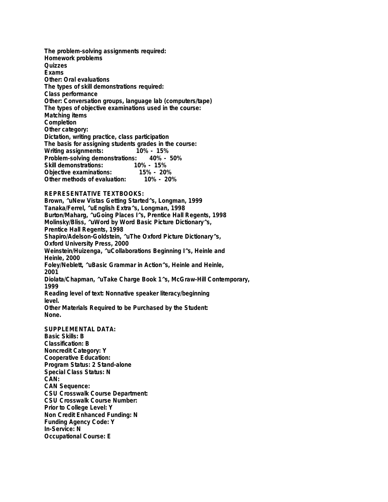**The problem-solving assignments required: Homework problems Quizzes Exams Other: Oral evaluations The types of skill demonstrations required: Class performance Other: Conversation groups, language lab (computers/tape) The types of objective examinations used in the course: Matching items Completion Other category: Dictation, writing practice, class participation The basis for assigning students grades in the course: Writing assignments: 10% - 15% Problem-solving demonstrations: Skill demonstrations: 10% - 15% Objective examinations: 15% - 20% Other methods of evaluation:** 

## **REPRESENTATIVE TEXTBOOKS:**

**Brown, ^uNew Vistas Getting Started^s, Longman, 1999 Tanaka/Ferrel, ^uEnglish Extra^s, Longman, 1998 Burton/Maharg, ^uGoing Places I^s, Prentice Hall Regents, 1998 Molinsky/Bliss, ^uWord by Word Basic Picture Dictionary^s, Prentice Hall Regents, 1998 Shapiro/Adelson-Goldstein, ^uThe Oxford Picture Dictionary^s, Oxford University Press, 2000 Weinstein/Huizenga, ^uCollaborations Beginning I^s, Heinle and Heinle, 2000 Foley/Neblett, ^uBasic Grammar in Action^s, Heinle and Heinle, 2001 Diolata/Chapman, ^uTake Charge Book 1^s, McGraw-Hill Contemporary, 1999 Reading level of text: Nonnative speaker literacy/beginning level. Other Materials Required to be Purchased by the Student: None.**

**SUPPLEMENTAL DATA: Basic Skills: B Classification: B Noncredit Category: Y Cooperative Education: Program Status: 2 Stand-alone Special Class Status: N CAN: CAN Sequence: CSU Crosswalk Course Department: CSU Crosswalk Course Number: Prior to College Level: Y Non Credit Enhanced Funding: N Funding Agency Code: Y In-Service: N Occupational Course: E**